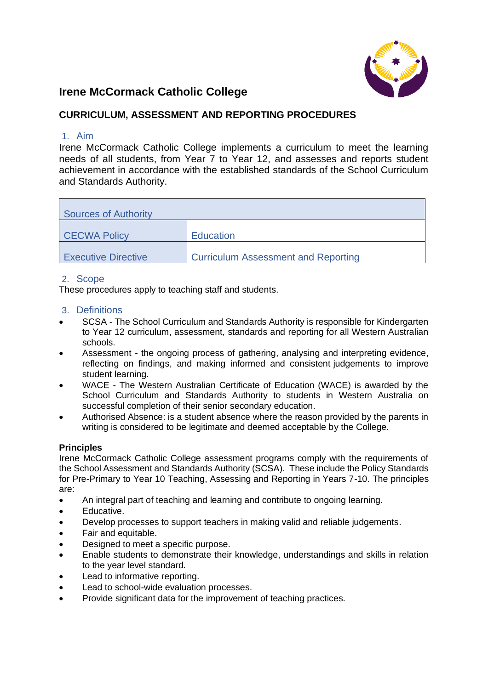

# **Irene McCormack Catholic College**

# **CURRICULUM, ASSESSMENT AND REPORTING PROCEDURES**

### 1. Aim

Irene McCormack Catholic College implements a curriculum to meet the learning needs of all students, from Year 7 to Year 12, and assesses and reports student achievement in accordance with the established standards of the School Curriculum and Standards Authority.

| Sources of Authority       |                                            |  |  |  |
|----------------------------|--------------------------------------------|--|--|--|
| <b>CECWA Policy</b>        | <b>Education</b>                           |  |  |  |
| <b>Executive Directive</b> | <b>Curriculum Assessment and Reporting</b> |  |  |  |

### 2. Scope

These procedures apply to teaching staff and students.

### 3. Definitions

- SCSA The School Curriculum and Standards Authority is responsible for Kindergarten to Year 12 curriculum, assessment, standards and reporting for all Western Australian schools.
- Assessment the ongoing process of gathering, analysing and interpreting evidence, reflecting on findings, and making informed and consistent judgements to improve student learning.
- WACE The Western Australian Certificate of Education (WACE) is awarded by the School Curriculum and Standards Authority to students in Western Australia on successful completion of their senior secondary education.
- Authorised Absence: is a student absence where the reason provided by the parents in writing is considered to be legitimate and deemed acceptable by the College.

### **Principles**

Irene McCormack Catholic College assessment programs comply with the requirements of the School Assessment and Standards Authority (SCSA). These include the Policy Standards for Pre-Primary to Year 10 Teaching, Assessing and Reporting in Years 7-10. The principles are:

- An integral part of teaching and learning and contribute to ongoing learning.
- Educative.
- Develop processes to support teachers in making valid and reliable judgements.
- Fair and equitable.
- Designed to meet a specific purpose.
- Enable students to demonstrate their knowledge, understandings and skills in relation to the year level standard.
- Lead to informative reporting.
- Lead to school-wide evaluation processes.
- Provide significant data for the improvement of teaching practices.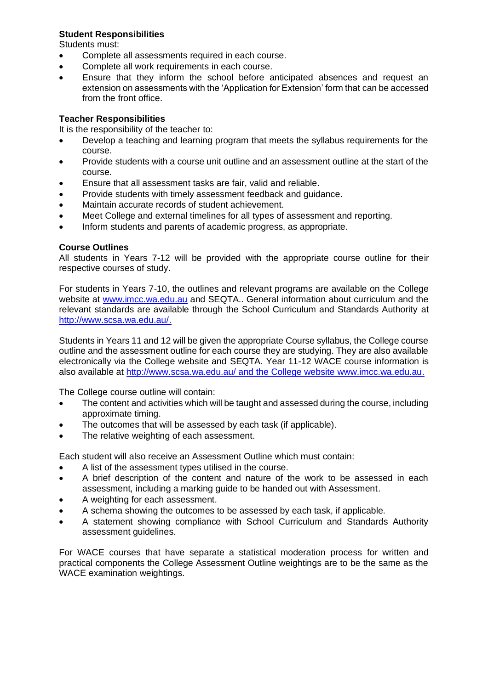# **Student Responsibilities**

Students must:

- Complete all assessments required in each course.
- Complete all work requirements in each course.
- Ensure that they inform the school before anticipated absences and request an extension on assessments with the 'Application for Extension' form that can be accessed from the front office.

# **Teacher Responsibilities**

It is the responsibility of the teacher to:

- Develop a teaching and learning program that meets the syllabus requirements for the course.
- Provide students with a course unit outline and an assessment outline at the start of the course.
- Ensure that all assessment tasks are fair, valid and reliable.
- Provide students with timely assessment feedback and guidance.
- Maintain accurate records of student achievement.
- Meet College and external timelines for all types of assessment and reporting.
- Inform students and parents of academic progress, as appropriate.

# **Course Outlines**

All students in Years 7-12 will be provided with the appropriate course outline for their respective courses of study.

For students in Years 7-10, the outlines and relevant programs are available on the College website at [www.imcc.wa.edu.au](http://www.imcc.wa.edu.au/) and SEQTA.. General information about curriculum and the relevant standards are available through the School Curriculum and Standards Authority at [http://www.scsa.wa.edu.au/.](http://www.scsa.wa.edu.au/)

Students in Years 11 and 12 will be given the appropriate Course syllabus, the College course outline and the assessment outline for each course they are studying. They are also available electronically via the College website and SEQTA. Year 11-12 WACE course information is also available at<http://www.scsa.wa.edu.au/> and the College website [www.imcc.wa.edu.au.](http://www.imcc.wa.edu.au/)

The College course outline will contain:

- The content and activities which will be taught and assessed during the course, including approximate timing.
- The outcomes that will be assessed by each task (if applicable).
- The relative weighting of each assessment.

Each student will also receive an Assessment Outline which must contain:

- A list of the assessment types utilised in the course.
- A brief description of the content and nature of the work to be assessed in each assessment, including a marking guide to be handed out with Assessment.
- A weighting for each assessment.
- A schema showing the outcomes to be assessed by each task, if applicable.
- A statement showing compliance with School Curriculum and Standards Authority assessment guidelines.

For WACE courses that have separate a statistical moderation process for written and practical components the College Assessment Outline weightings are to be the same as the WACE examination weightings.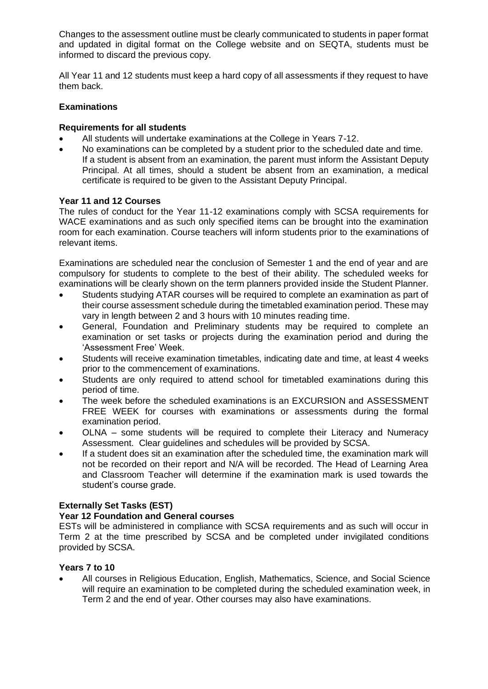Changes to the assessment outline must be clearly communicated to students in paper format and updated in digital format on the College website and on SEQTA, students must be informed to discard the previous copy.

All Year 11 and 12 students must keep a hard copy of all assessments if they request to have them back.

### **Examinations**

### **Requirements for all students**

- All students will undertake examinations at the College in Years 7-12.
- No examinations can be completed by a student prior to the scheduled date and time. If a student is absent from an examination, the parent must inform the Assistant Deputy Principal. At all times, should a student be absent from an examination, a medical certificate is required to be given to the Assistant Deputy Principal.

### **Year 11 and 12 Courses**

The rules of conduct for the Year 11-12 examinations comply with SCSA requirements for WACE examinations and as such only specified items can be brought into the examination room for each examination. Course teachers will inform students prior to the examinations of relevant items.

Examinations are scheduled near the conclusion of Semester 1 and the end of year and are compulsory for students to complete to the best of their ability. The scheduled weeks for examinations will be clearly shown on the term planners provided inside the Student Planner.

- Students studying ATAR courses will be required to complete an examination as part of their course assessment schedule during the timetabled examination period. These may vary in length between 2 and 3 hours with 10 minutes reading time.
- General, Foundation and Preliminary students may be required to complete an examination or set tasks or projects during the examination period and during the 'Assessment Free' Week.
- Students will receive examination timetables, indicating date and time, at least 4 weeks prior to the commencement of examinations.
- Students are only required to attend school for timetabled examinations during this period of time.
- The week before the scheduled examinations is an EXCURSION and ASSESSMENT FREE WEEK for courses with examinations or assessments during the formal examination period.
- OLNA some students will be required to complete their Literacy and Numeracy Assessment. Clear guidelines and schedules will be provided by SCSA.
- If a student does sit an examination after the scheduled time, the examination mark will not be recorded on their report and N/A will be recorded. The Head of Learning Area and Classroom Teacher will determine if the examination mark is used towards the student's course grade.

# **Externally Set Tasks (EST)**

# **Year 12 Foundation and General courses**

ESTs will be administered in compliance with SCSA requirements and as such will occur in Term 2 at the time prescribed by SCSA and be completed under invigilated conditions provided by SCSA.

# **Years 7 to 10**

• All courses in Religious Education, English, Mathematics, Science, and Social Science will require an examination to be completed during the scheduled examination week, in Term 2 and the end of year. Other courses may also have examinations.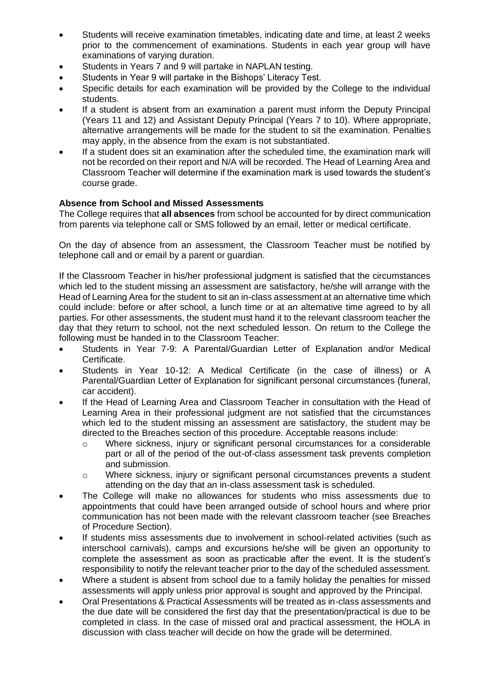- Students will receive examination timetables, indicating date and time, at least 2 weeks prior to the commencement of examinations. Students in each year group will have examinations of varying duration.
- Students in Years 7 and 9 will partake in NAPLAN testing.
- Students in Year 9 will partake in the Bishops' Literacy Test.
- Specific details for each examination will be provided by the College to the individual students.
- If a student is absent from an examination a parent must inform the Deputy Principal (Years 11 and 12) and Assistant Deputy Principal (Years 7 to 10). Where appropriate, alternative arrangements will be made for the student to sit the examination. Penalties may apply, in the absence from the exam is not substantiated.
- If a student does sit an examination after the scheduled time, the examination mark will not be recorded on their report and N/A will be recorded. The Head of Learning Area and Classroom Teacher will determine if the examination mark is used towards the student's course grade.

### **Absence from School and Missed Assessments**

The College requires that **all absences** from school be accounted for by direct communication from parents via telephone call or SMS followed by an email, letter or medical certificate.

On the day of absence from an assessment, the Classroom Teacher must be notified by telephone call and or email by a parent or guardian.

If the Classroom Teacher in his/her professional judgment is satisfied that the circumstances which led to the student missing an assessment are satisfactory, he/she will arrange with the Head of Learning Area for the student to sit an in-class assessment at an alternative time which could include: before or after school, a lunch time or at an alternative time agreed to by all parties. For other assessments, the student must hand it to the relevant classroom teacher the day that they return to school, not the next scheduled lesson. On return to the College the following must be handed in to the Classroom Teacher:

- Students in Year 7-9: A Parental/Guardian Letter of Explanation and/or Medical Certificate.
- Students in Year 10-12: A Medical Certificate (in the case of illness) or A Parental/Guardian Letter of Explanation for significant personal circumstances (funeral, car accident).
- If the Head of Learning Area and Classroom Teacher in consultation with the Head of Learning Area in their professional judgment are not satisfied that the circumstances which led to the student missing an assessment are satisfactory, the student may be directed to the Breaches section of this procedure. Acceptable reasons include:
	- o Where sickness, injury or significant personal circumstances for a considerable part or all of the period of the out-of-class assessment task prevents completion and submission.
	- o Where sickness, injury or significant personal circumstances prevents a student attending on the day that an in-class assessment task is scheduled.
- The College will make no allowances for students who miss assessments due to appointments that could have been arranged outside of school hours and where prior communication has not been made with the relevant classroom teacher (see Breaches of Procedure Section).
- If students miss assessments due to involvement in school-related activities (such as interschool carnivals), camps and excursions he/she will be given an opportunity to complete the assessment as soon as practicable after the event. It is the student's responsibility to notify the relevant teacher prior to the day of the scheduled assessment.
- Where a student is absent from school due to a family holiday the penalties for missed assessments will apply unless prior approval is sought and approved by the Principal.
- Oral Presentations & Practical Assessments will be treated as in-class assessments and the due date will be considered the first day that the presentation/practical is due to be completed in class. In the case of missed oral and practical assessment, the HOLA in discussion with class teacher will decide on how the grade will be determined.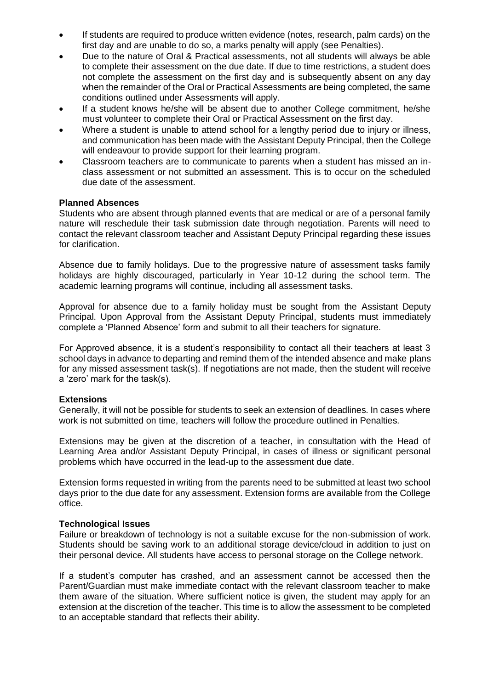- If students are required to produce written evidence (notes, research, palm cards) on the first day and are unable to do so, a marks penalty will apply (see Penalties).
- Due to the nature of Oral & Practical assessments, not all students will always be able to complete their assessment on the due date. If due to time restrictions, a student does not complete the assessment on the first day and is subsequently absent on any day when the remainder of the Oral or Practical Assessments are being completed, the same conditions outlined under Assessments will apply.
- If a student knows he/she will be absent due to another College commitment, he/she must volunteer to complete their Oral or Practical Assessment on the first day.
- Where a student is unable to attend school for a lengthy period due to injury or illness, and communication has been made with the Assistant Deputy Principal, then the College will endeavour to provide support for their learning program.
- Classroom teachers are to communicate to parents when a student has missed an inclass assessment or not submitted an assessment. This is to occur on the scheduled due date of the assessment.

### **Planned Absences**

Students who are absent through planned events that are medical or are of a personal family nature will reschedule their task submission date through negotiation. Parents will need to contact the relevant classroom teacher and Assistant Deputy Principal regarding these issues for clarification.

Absence due to family holidays. Due to the progressive nature of assessment tasks family holidays are highly discouraged, particularly in Year 10-12 during the school term. The academic learning programs will continue, including all assessment tasks.

Approval for absence due to a family holiday must be sought from the Assistant Deputy Principal. Upon Approval from the Assistant Deputy Principal, students must immediately complete a 'Planned Absence' form and submit to all their teachers for signature.

For Approved absence, it is a student's responsibility to contact all their teachers at least 3 school days in advance to departing and remind them of the intended absence and make plans for any missed assessment task(s). If negotiations are not made, then the student will receive a 'zero' mark for the task(s).

### **Extensions**

Generally, it will not be possible for students to seek an extension of deadlines. In cases where work is not submitted on time, teachers will follow the procedure outlined in Penalties.

Extensions may be given at the discretion of a teacher, in consultation with the Head of Learning Area and/or Assistant Deputy Principal, in cases of illness or significant personal problems which have occurred in the lead-up to the assessment due date.

Extension forms requested in writing from the parents need to be submitted at least two school days prior to the due date for any assessment. Extension forms are available from the College office.

### **Technological Issues**

Failure or breakdown of technology is not a suitable excuse for the non-submission of work. Students should be saving work to an additional storage device/cloud in addition to just on their personal device. All students have access to personal storage on the College network.

If a student's computer has crashed, and an assessment cannot be accessed then the Parent/Guardian must make immediate contact with the relevant classroom teacher to make them aware of the situation. Where sufficient notice is given, the student may apply for an extension at the discretion of the teacher. This time is to allow the assessment to be completed to an acceptable standard that reflects their ability.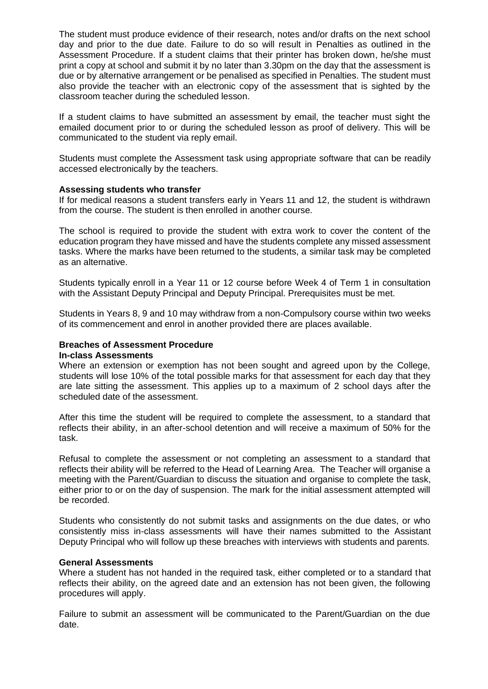The student must produce evidence of their research, notes and/or drafts on the next school day and prior to the due date. Failure to do so will result in Penalties as outlined in the Assessment Procedure. If a student claims that their printer has broken down, he/she must print a copy at school and submit it by no later than 3.30pm on the day that the assessment is due or by alternative arrangement or be penalised as specified in Penalties. The student must also provide the teacher with an electronic copy of the assessment that is sighted by the classroom teacher during the scheduled lesson.

If a student claims to have submitted an assessment by email, the teacher must sight the emailed document prior to or during the scheduled lesson as proof of delivery. This will be communicated to the student via reply email.

Students must complete the Assessment task using appropriate software that can be readily accessed electronically by the teachers.

### **Assessing students who transfer**

If for medical reasons a student transfers early in Years 11 and 12, the student is withdrawn from the course. The student is then enrolled in another course.

The school is required to provide the student with extra work to cover the content of the education program they have missed and have the students complete any missed assessment tasks. Where the marks have been returned to the students, a similar task may be completed as an alternative.

Students typically enroll in a Year 11 or 12 course before Week 4 of Term 1 in consultation with the Assistant Deputy Principal and Deputy Principal. Prerequisites must be met.

Students in Years 8, 9 and 10 may withdraw from a non-Compulsory course within two weeks of its commencement and enrol in another provided there are places available.

#### **Breaches of Assessment Procedure In-class Assessments**

Where an extension or exemption has not been sought and agreed upon by the College, students will lose 10% of the total possible marks for that assessment for each day that they are late sitting the assessment. This applies up to a maximum of 2 school days after the scheduled date of the assessment.

After this time the student will be required to complete the assessment, to a standard that reflects their ability, in an after-school detention and will receive a maximum of 50% for the task.

Refusal to complete the assessment or not completing an assessment to a standard that reflects their ability will be referred to the Head of Learning Area. The Teacher will organise a meeting with the Parent/Guardian to discuss the situation and organise to complete the task, either prior to or on the day of suspension. The mark for the initial assessment attempted will be recorded.

Students who consistently do not submit tasks and assignments on the due dates, or who consistently miss in-class assessments will have their names submitted to the Assistant Deputy Principal who will follow up these breaches with interviews with students and parents.

### **General Assessments**

Where a student has not handed in the required task, either completed or to a standard that reflects their ability, on the agreed date and an extension has not been given, the following procedures will apply.

Failure to submit an assessment will be communicated to the Parent/Guardian on the due date.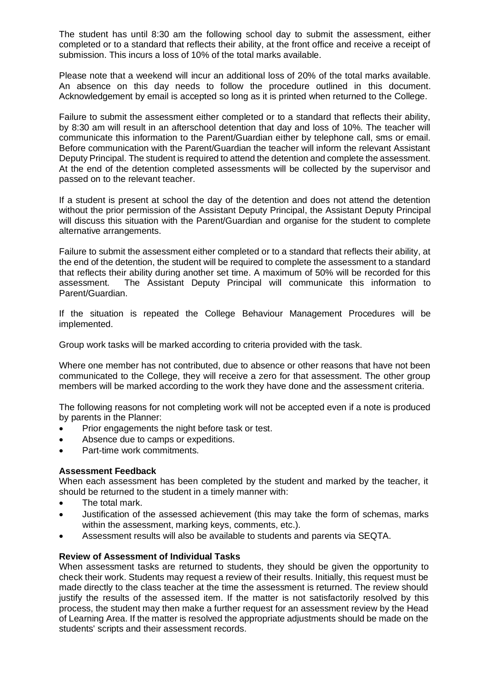The student has until 8:30 am the following school day to submit the assessment, either completed or to a standard that reflects their ability, at the front office and receive a receipt of submission. This incurs a loss of 10% of the total marks available.

Please note that a weekend will incur an additional loss of 20% of the total marks available. An absence on this day needs to follow the procedure outlined in this document. Acknowledgement by email is accepted so long as it is printed when returned to the College.

Failure to submit the assessment either completed or to a standard that reflects their ability, by 8:30 am will result in an afterschool detention that day and loss of 10%. The teacher will communicate this information to the Parent/Guardian either by telephone call, sms or email. Before communication with the Parent/Guardian the teacher will inform the relevant Assistant Deputy Principal. The student is required to attend the detention and complete the assessment. At the end of the detention completed assessments will be collected by the supervisor and passed on to the relevant teacher.

If a student is present at school the day of the detention and does not attend the detention without the prior permission of the Assistant Deputy Principal, the Assistant Deputy Principal will discuss this situation with the Parent/Guardian and organise for the student to complete alternative arrangements.

Failure to submit the assessment either completed or to a standard that reflects their ability, at the end of the detention, the student will be required to complete the assessment to a standard that reflects their ability during another set time. A maximum of 50% will be recorded for this assessment. The Assistant Deputy Principal will communicate this information to Parent/Guardian.

If the situation is repeated the College Behaviour Management Procedures will be implemented.

Group work tasks will be marked according to criteria provided with the task.

Where one member has not contributed, due to absence or other reasons that have not been communicated to the College, they will receive a zero for that assessment. The other group members will be marked according to the work they have done and the assessment criteria.

The following reasons for not completing work will not be accepted even if a note is produced by parents in the Planner:

- Prior engagements the night before task or test.
- Absence due to camps or expeditions.
- Part-time work commitments.

### **Assessment Feedback**

When each assessment has been completed by the student and marked by the teacher, it should be returned to the student in a timely manner with:

- The total mark.
- Justification of the assessed achievement (this may take the form of schemas, marks within the assessment, marking keys, comments, etc.).
- Assessment results will also be available to students and parents via SEQTA.

### **Review of Assessment of Individual Tasks**

When assessment tasks are returned to students, they should be given the opportunity to check their work. Students may request a review of their results. Initially, this request must be made directly to the class teacher at the time the assessment is returned. The review should justify the results of the assessed item. If the matter is not satisfactorily resolved by this process, the student may then make a further request for an assessment review by the Head of Learning Area. If the matter is resolved the appropriate adjustments should be made on the students' scripts and their assessment records.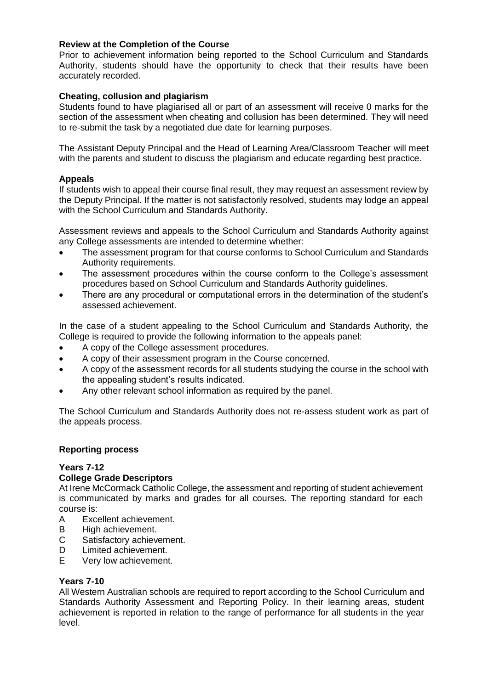### **Review at the Completion of the Course**

Prior to achievement information being reported to the School Curriculum and Standards Authority, students should have the opportunity to check that their results have been accurately recorded.

# **Cheating, collusion and plagiarism**

Students found to have plagiarised all or part of an assessment will receive 0 marks for the section of the assessment when cheating and collusion has been determined. They will need to re-submit the task by a negotiated due date for learning purposes.

The Assistant Deputy Principal and the Head of Learning Area/Classroom Teacher will meet with the parents and student to discuss the plagiarism and educate regarding best practice.

# **Appeals**

If students wish to appeal their course final result, they may request an assessment review by the Deputy Principal. If the matter is not satisfactorily resolved, students may lodge an appeal with the School Curriculum and Standards Authority.

Assessment reviews and appeals to the School Curriculum and Standards Authority against any College assessments are intended to determine whether:

- The assessment program for that course conforms to School Curriculum and Standards Authority requirements.
- The assessment procedures within the course conform to the College's assessment procedures based on School Curriculum and Standards Authority guidelines.
- There are any procedural or computational errors in the determination of the student's assessed achievement.

In the case of a student appealing to the School Curriculum and Standards Authority, the College is required to provide the following information to the appeals panel:

- A copy of the College assessment procedures.
- A copy of their assessment program in the Course concerned.
- A copy of the assessment records for all students studying the course in the school with the appealing student's results indicated.
- Any other relevant school information as required by the panel.

The School Curriculum and Standards Authority does not re-assess student work as part of the appeals process.

### **Reporting process**

### **Years 7-12**

### **College Grade Descriptors**

At Irene McCormack Catholic College, the assessment and reporting of student achievement is communicated by marks and grades for all courses. The reporting standard for each course is:

- A Excellent achievement.
- B High achievement.
- C Satisfactory achievement.
- D Limited achievement.
- E Very low achievement.

### **Years 7-10**

All Western Australian schools are required to report according to the School Curriculum and Standards Authority Assessment and Reporting Policy. In their learning areas, student achievement is reported in relation to the range of performance for all students in the year level.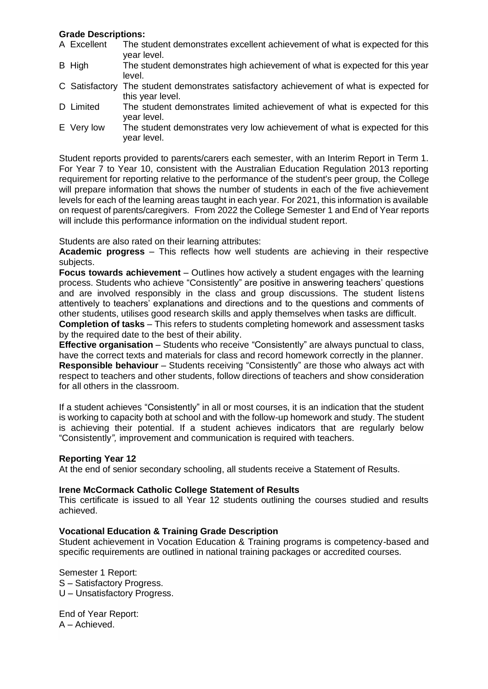### **Grade Descriptions:**

- A Excellent The student demonstrates excellent achievement of what is expected for this year level.
- B High The student demonstrates high achievement of what is expected for this year level.
- C Satisfactory The student demonstrates satisfactory achievement of what is expected for this year level.
- D Limited The student demonstrates limited achievement of what is expected for this year level.
- E Very low The student demonstrates very low achievement of what is expected for this year level.

Student reports provided to parents/carers each semester, with an Interim Report in Term 1. For Year 7 to Year 10, consistent with the Australian Education Regulation 2013 reporting requirement for reporting relative to the performance of the student's peer group, the College will prepare information that shows the number of students in each of the five achievement levels for each of the learning areas taught in each year. For 2021, this information is available on request of parents/caregivers. From 2022 the College Semester 1 and End of Year reports will include this performance information on the individual student report.

Students are also rated on their learning attributes:

**Academic progress** – This reflects how well students are achieving in their respective subjects.

**Focus towards achievement** – Outlines how actively a student engages with the learning process. Students who achieve "Consistently" are positive in answering teachers' questions and are involved responsibly in the class and group discussions. The student listens attentively to teachers' explanations and directions and to the questions and comments of other students, utilises good research skills and apply themselves when tasks are difficult. **Completion of tasks** – This refers to students completing homework and assessment tasks by the required date to the best of their ability.

**Effective organisation** – Students who receive "Consistently" are always punctual to class, have the correct texts and materials for class and record homework correctly in the planner. **Responsible behaviour** – Students receiving "Consistently" are those who always act with respect to teachers and other students, follow directions of teachers and show consideration for all others in the classroom.

If a student achieves "Consistently" in all or most courses, it is an indication that the student is working to capacity both at school and with the follow-up homework and study. The student is achieving their potential. If a student achieves indicators that are regularly below "Consistently*",* improvement and communication is required with teachers.

### **Reporting Year 12**

At the end of senior secondary schooling, all students receive a Statement of Results.

### **Irene McCormack Catholic College Statement of Results**

This certificate is issued to all Year 12 students outlining the courses studied and results achieved.

### **Vocational Education & Training Grade Description**

Student achievement in Vocation Education & Training programs is competency-based and specific requirements are outlined in national training packages or accredited courses.

Semester 1 Report: S – Satisfactory Progress. U – Unsatisfactory Progress.

End of Year Report: A – Achieved.